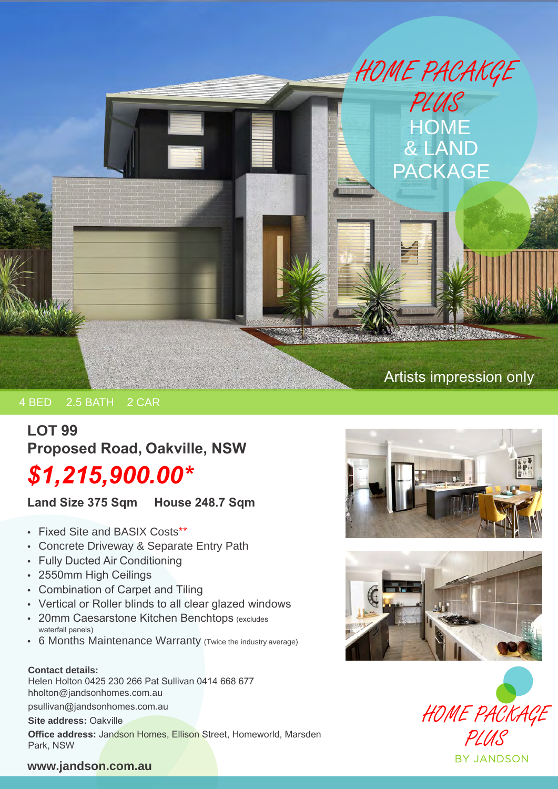

# 4 BED 2.5 BATH 2 CAR

# **LOT 99 Proposed Road, Oakville, NSW** *\$1,215,900.00\**

**Land Size 375 Sqm House 248.7 Sqm**

- Fixed Site and BASIX Costs\*\*
- Concrete Driveway & Separate Entry Path
- Fully Ducted Air Conditioning
- 2550mm High Ceilings
- Combination of Carpet and Tiling
- Vertical or Roller blinds to all clear glazed windows
- 20mm Caesarstone Kitchen Benchtops (excludes waterfall panels)
- 6 Months Maintenance Warranty (Twice the industry average)

#### **Contact details:**

Helen Holton 0425 230 266 Pat Sullivan 0414 668 677 hholton@jandsonhomes.com.au

psullivan@jandsonhomes.com.au

**Site address:** Oakville

**Office address:** Jandson Homes, Ellison Street, Homeworld, Marsden Park, NSW







# **www.jandson.com.au**